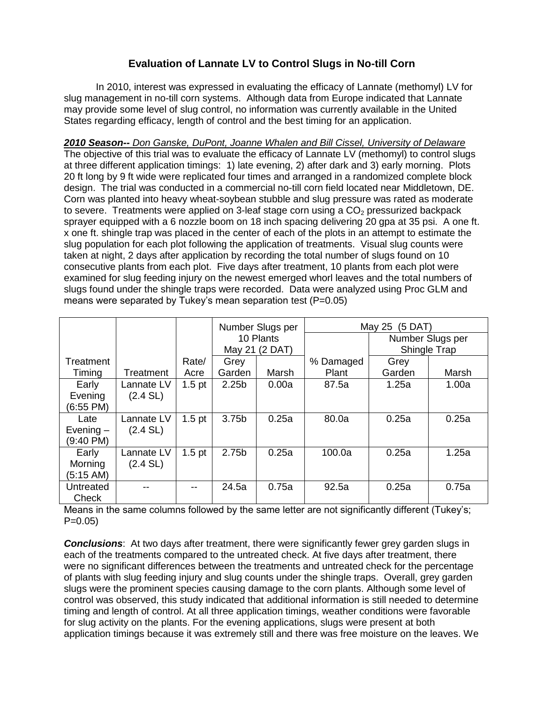## **Evaluation of Lannate LV to Control Slugs in No-till Corn**

In 2010, interest was expressed in evaluating the efficacy of Lannate (methomyl) LV for slug management in no-till corn systems. Although data from Europe indicated that Lannate may provide some level of slug control, no information was currently available in the United States regarding efficacy, length of control and the best timing for an application.

*2010 Season-- Don Ganske, DuPont, Joanne Whalen and Bill Cissel, University of Delaware*  The objective of this trial was to evaluate the efficacy of Lannate LV (methomyl) to control slugs at three different application timings: 1) late evening, 2) after dark and 3) early morning. Plots 20 ft long by 9 ft wide were replicated four times and arranged in a randomized complete block design. The trial was conducted in a commercial no-till corn field located near Middletown, DE. Corn was planted into heavy wheat-soybean stubble and slug pressure was rated as moderate to severe. Treatments were applied on 3-leaf stage corn using a  $CO<sub>2</sub>$  pressurized backpack sprayer equipped with a 6 nozzle boom on 18 inch spacing delivering 20 gpa at 35 psi. A one ft. x one ft. shingle trap was placed in the center of each of the plots in an attempt to estimate the slug population for each plot following the application of treatments. Visual slug counts were taken at night, 2 days after application by recording the total number of slugs found on 10 consecutive plants from each plot. Five days after treatment, 10 plants from each plot were examined for slug feeding injury on the newest emerged whorl leaves and the total numbers of slugs found under the shingle traps were recorded. Data were analyzed using Proc GLM and means were separated by Tukey's mean separation test (P=0.05)

|              |            |                   | Number Slugs per  |       | May 25 (5 DAT) |                  |       |
|--------------|------------|-------------------|-------------------|-------|----------------|------------------|-------|
|              |            |                   | 10 Plants         |       |                | Number Slugs per |       |
|              |            |                   | May 21 (2 DAT)    |       |                | Shingle Trap     |       |
| Treatment    |            | Rate/             | Grey              |       | % Damaged      | Grey             |       |
| Timing       | Treatment  | Acre              | Garden            | Marsh | Plant          | Garden           | Marsh |
| Early        | Lannate LV | $1.5$ pt          | 2.25 <sub>b</sub> | 0.00a | 87.5a          | 1.25a            | 1.00a |
| Evening      | (2.4 SL)   |                   |                   |       |                |                  |       |
| (6:55 PM)    |            |                   |                   |       |                |                  |       |
| Late         | Lannate LV | 1.5 <sub>pt</sub> | 3.75b             | 0.25a | 80.0a          | 0.25a            | 0.25a |
| Evening $-$  | $(2.4$ SL) |                   |                   |       |                |                  |       |
| (9:40 PM)    |            |                   |                   |       |                |                  |       |
| Early        | Lannate LV | 1.5 <sub>pt</sub> | 2.75b             | 0.25a | 100.0a         | 0.25a            | 1.25a |
| Morning      | (2.4 SL)   |                   |                   |       |                |                  |       |
| (5:15 AM)    |            |                   |                   |       |                |                  |       |
| Untreated    |            | --                | 24.5a             | 0.75a | 92.5a          | 0.25a            | 0.75a |
| <b>Check</b> |            |                   |                   |       |                |                  |       |

Means in the same columns followed by the same letter are not significantly different (Tukey's;  $P=0.05$ 

**Conclusions:** At two days after treatment, there were significantly fewer grey garden slugs in each of the treatments compared to the untreated check. At five days after treatment, there were no significant differences between the treatments and untreated check for the percentage of plants with slug feeding injury and slug counts under the shingle traps. Overall, grey garden slugs were the prominent species causing damage to the corn plants. Although some level of control was observed, this study indicated that additional information is still needed to determine timing and length of control. At all three application timings, weather conditions were favorable for slug activity on the plants. For the evening applications, slugs were present at both application timings because it was extremely still and there was free moisture on the leaves. We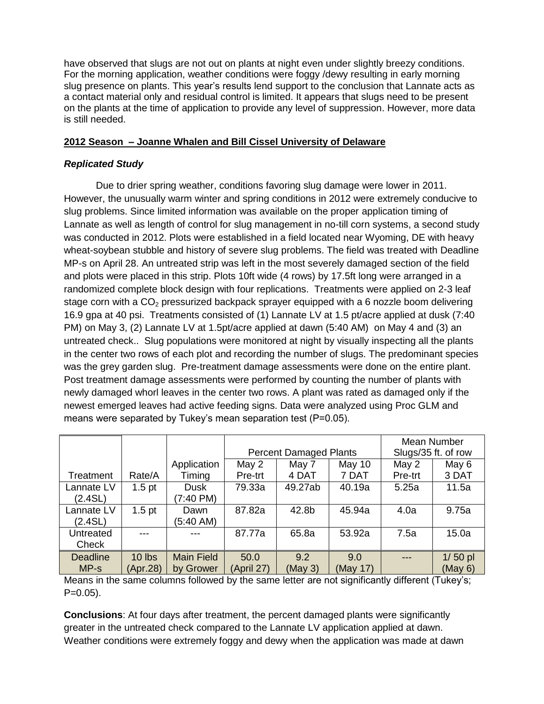have observed that slugs are not out on plants at night even under slightly breezy conditions. For the morning application, weather conditions were foggy /dewy resulting in early morning slug presence on plants. This year's results lend support to the conclusion that Lannate acts as a contact material only and residual control is limited. It appears that slugs need to be present on the plants at the time of application to provide any level of suppression. However, more data is still needed.

## **2012 Season – Joanne Whalen and Bill Cissel University of Delaware**

## *Replicated Study*

Due to drier spring weather, conditions favoring slug damage were lower in 2011. However, the unusually warm winter and spring conditions in 2012 were extremely conducive to slug problems. Since limited information was available on the proper application timing of Lannate as well as length of control for slug management in no-till corn systems, a second study was conducted in 2012. Plots were established in a field located near Wyoming, DE with heavy wheat-soybean stubble and history of severe slug problems. The field was treated with Deadline MP-s on April 28. An untreated strip was left in the most severely damaged section of the field and plots were placed in this strip. Plots 10ft wide (4 rows) by 17.5ft long were arranged in a randomized complete block design with four replications. Treatments were applied on 2-3 leaf stage corn with a  $CO<sub>2</sub>$  pressurized backpack sprayer equipped with a 6 nozzle boom delivering 16.9 gpa at 40 psi. Treatments consisted of (1) Lannate LV at 1.5 pt/acre applied at dusk (7:40 PM) on May 3, (2) Lannate LV at 1.5pt/acre applied at dawn (5:40 AM) on May 4 and (3) an untreated check.. Slug populations were monitored at night by visually inspecting all the plants in the center two rows of each plot and recording the number of slugs. The predominant species was the grey garden slug. Pre-treatment damage assessments were done on the entire plant. Post treatment damage assessments were performed by counting the number of plants with newly damaged whorl leaves in the center two rows. A plant was rated as damaged only if the newest emerged leaves had active feeding signs. Data were analyzed using Proc GLM and means were separated by Tukey's mean separation test (P=0.05).

|                 |                   |                   | <b>Percent Damaged Plants</b> |         |          | Mean Number<br>Slugs/35 ft. of row |           |
|-----------------|-------------------|-------------------|-------------------------------|---------|----------|------------------------------------|-----------|
|                 |                   |                   |                               |         |          |                                    |           |
|                 |                   | Application       | May 2                         | May 7   | May 10   | May 2                              | May 6     |
| Treatment       | Rate/A            | Timing            | Pre-trt                       | 4 DAT   | 7 DAT    | Pre-trt                            | 3 DAT     |
| Lannate LV      | 1.5 <sub>pt</sub> | <b>Dusk</b>       | 79.33a                        | 49.27ab | 40.19a   | 5.25a                              | 11.5a     |
| (2.4SL)         |                   | (7:40 PM)         |                               |         |          |                                    |           |
| Lannate LV      | 1.5 <sub>pt</sub> | Dawn              | 87.82a                        | 42.8b   | 45.94a   | 4.0a                               | 9.75a     |
| (2.4SL)         |                   | (5:40 AM)         |                               |         |          |                                    |           |
| Untreated       |                   |                   | 87.77a                        | 65.8a   | 53.92a   | 7.5a                               | 15.0a     |
| Check           |                   |                   |                               |         |          |                                    |           |
| <b>Deadline</b> | $10$ lbs          | <b>Main Field</b> | 50.0                          | 9.2     | 9.0      | $---$                              | $1/50$ pl |
| $MP-S$          | (Apr.28)          | by Grower         | (April 27)                    | (May 3) | (May 17) |                                    | (May 6)   |

Means in the same columns followed by the same letter are not significantly different (Tukey's;  $P=0.05$ ).

**Conclusions**: At four days after treatment, the percent damaged plants were significantly greater in the untreated check compared to the Lannate LV application applied at dawn. Weather conditions were extremely foggy and dewy when the application was made at dawn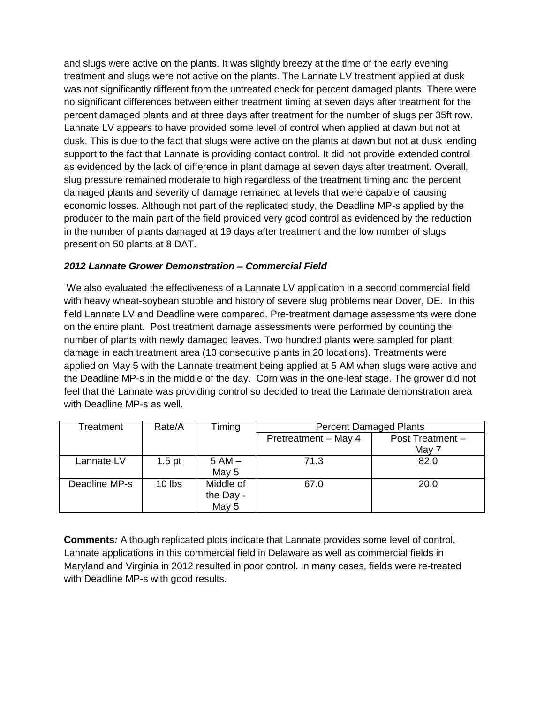and slugs were active on the plants. It was slightly breezy at the time of the early evening treatment and slugs were not active on the plants. The Lannate LV treatment applied at dusk was not significantly different from the untreated check for percent damaged plants. There were no significant differences between either treatment timing at seven days after treatment for the percent damaged plants and at three days after treatment for the number of slugs per 35ft row. Lannate LV appears to have provided some level of control when applied at dawn but not at dusk. This is due to the fact that slugs were active on the plants at dawn but not at dusk lending support to the fact that Lannate is providing contact control. It did not provide extended control as evidenced by the lack of difference in plant damage at seven days after treatment. Overall, slug pressure remained moderate to high regardless of the treatment timing and the percent damaged plants and severity of damage remained at levels that were capable of causing economic losses. Although not part of the replicated study, the Deadline MP-s applied by the producer to the main part of the field provided very good control as evidenced by the reduction in the number of plants damaged at 19 days after treatment and the low number of slugs present on 50 plants at 8 DAT.

## *2012 Lannate Grower Demonstration – Commercial Field*

We also evaluated the effectiveness of a Lannate LV application in a second commercial field with heavy wheat-soybean stubble and history of severe slug problems near Dover, DE. In this field Lannate LV and Deadline were compared. Pre-treatment damage assessments were done on the entire plant. Post treatment damage assessments were performed by counting the number of plants with newly damaged leaves. Two hundred plants were sampled for plant damage in each treatment area (10 consecutive plants in 20 locations). Treatments were applied on May 5 with the Lannate treatment being applied at 5 AM when slugs were active and the Deadline MP-s in the middle of the day. Corn was in the one-leaf stage. The grower did not feel that the Lannate was providing control so decided to treat the Lannate demonstration area with Deadline MP-s as well.

| Treatment     | Rate/A   | Timing    | <b>Percent Damaged Plants</b> |                  |  |
|---------------|----------|-----------|-------------------------------|------------------|--|
|               |          |           | Pretreatment - May 4          | Post Treatment - |  |
|               |          |           |                               | May 7            |  |
| Lannate LV    | $1.5$ pt | $5 AM -$  | 71.3                          | 82.0             |  |
|               |          | May 5     |                               |                  |  |
| Deadline MP-s | 10 lbs   | Middle of | 67.0                          | 20.0             |  |
|               |          | the Day - |                               |                  |  |
|               |          | May 5     |                               |                  |  |

**Comments***:* Although replicated plots indicate that Lannate provides some level of control, Lannate applications in this commercial field in Delaware as well as commercial fields in Maryland and Virginia in 2012 resulted in poor control. In many cases, fields were re-treated with Deadline MP-s with good results.